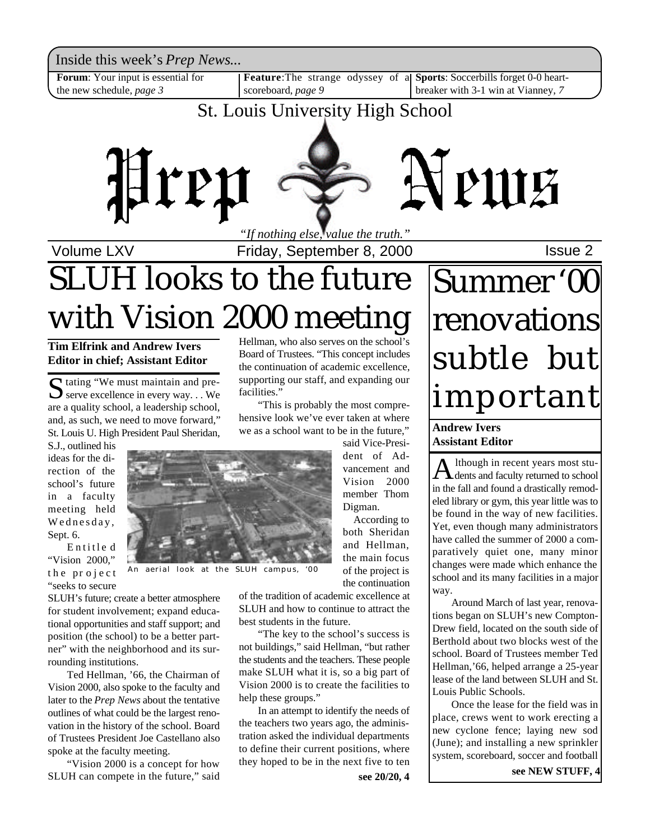Inside this week's *Prep News*...

**Forum**: Your input is essential for the new schedule, *page 3*

scoreboard, *page 9*

**Feature**:The strange odyssey of a **Sports**: Soccerbills forget 0-0 heartbreaker with 3-1 win at Vianney, *7*

## St. Louis University High School



Volume LXV **Interpretent Controller 1** Friday, September 8, 2000

## SLUH looks to the future with Vision 2000 meeting

**Tim Elfrink and Andrew Ivers Editor in chief; Assistant Editor**

Stating "We must maintain and pre-<br>Serve excellence in every way... We Serve excellence in every way.  $\ldots$  We are a quality school, a leadership school, and, as such, we need to move forward," St. Louis U. High President Paul Sheridan,

S.J., outlined his ideas for the direction of the school's future in a faculty meeting held Wednesday, Sept. 6.

E ntitle d "Vision 2000," the project "seeks to secure



An aerial look at the SLUH campus, '00

SLUH's future; create a better atmosphere for student involvement; expand educational opportunities and staff support; and position (the school) to be a better partner" with the neighborhood and its surrounding institutions.

Ted Hellman, '66, the Chairman of Vision 2000, also spoke to the faculty and later to the *Prep News* about the tentative outlines of what could be the largest renovation in the history of the school. Board of Trustees President Joe Castellano also spoke at the faculty meeting.

"Vision 2000 is a concept for how SLUH can compete in the future," said

Hellman, who also serves on the school's Board of Trustees. "This concept includes the continuation of academic excellence, supporting our staff, and expanding our facilities." "This is probably the most compre-

hensive look we've ever taken at where we as a school want to be in the future,"

said Vice-President of Advancement and Vision 2000 member Thom Digman.

According to both Sheridan and Hellman, the main focus of the project is the continuation

of the tradition of academic excellence at SLUH and how to continue to attract the best students in the future.

"The key to the school's success is not buildings," said Hellman, "but rather the students and the teachers. These people make SLUH what it is, so a big part of Vision 2000 is to create the facilities to help these groups."

In an attempt to identify the needs of the teachers two years ago, the administration asked the individual departments to define their current positions, where they hoped to be in the next five to ten

# Summer '00 renovations subtle but important

**Andrew Ivers Assistant Editor**

A lthough in recent years most stulthough in recent years most stuin the fall and found a drastically remodeled library or gym, this year little was to be found in the way of new facilities. Yet, even though many administrators have called the summer of 2000 a comparatively quiet one, many minor changes were made which enhance the school and its many facilities in a major way.

Around March of last year, renovations began on SLUH's new Compton-Drew field, located on the south side of Berthold about two blocks west of the school. Board of Trustees member Ted Hellman,'66, helped arrange a 25-year lease of the land between SLUH and St. Louis Public Schools.

Once the lease for the field was in place, crews went to work erecting a new cyclone fence; laying new sod (June); and installing a new sprinkler system, scoreboard, soccer and football

**see 20/20, 4 see NEW STUFF, 4**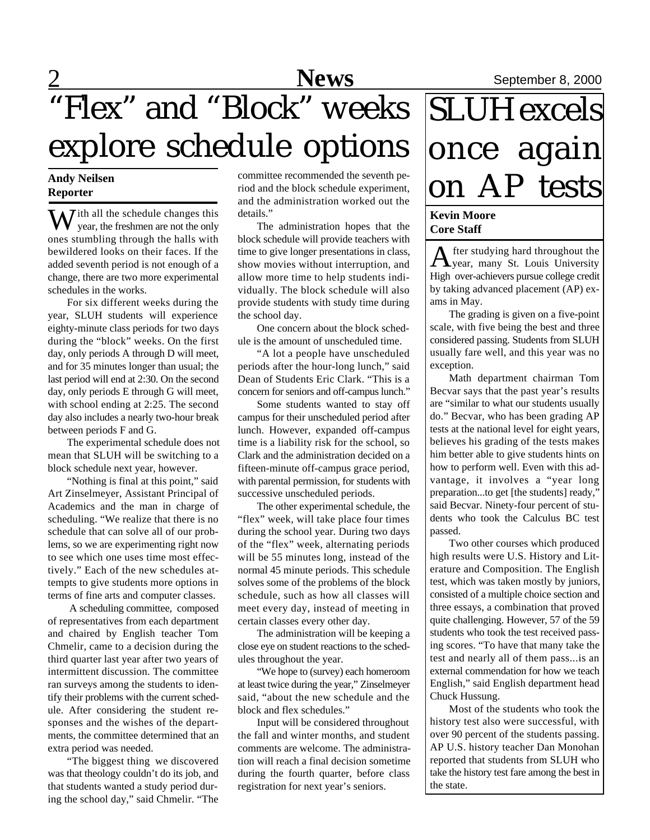## 2 **News** September 8, 2000 "Flex" and "Block" weeks explore schedule options

### **Andy Neilsen Reporter**

 $\overline{\mathbf{W}}$  ith all the schedule changes this year, the freshmen are not the only ones stumbling through the halls with bewildered looks on their faces. If the added seventh period is not enough of a change, there are two more experimental schedules in the works.

For six different weeks during the year, SLUH students will experience eighty-minute class periods for two days during the "block" weeks. On the first day, only periods A through D will meet, and for 35 minutes longer than usual; the last period will end at 2:30. On the second day, only periods E through G will meet, with school ending at 2:25. The second day also includes a nearly two-hour break between periods F and G.

The experimental schedule does not mean that SLUH will be switching to a block schedule next year, however.

"Nothing is final at this point," said Art Zinselmeyer, Assistant Principal of Academics and the man in charge of scheduling. "We realize that there is no schedule that can solve all of our problems, so we are experimenting right now to see which one uses time most effectively." Each of the new schedules attempts to give students more options in terms of fine arts and computer classes.

 A scheduling committee, composed of representatives from each department and chaired by English teacher Tom Chmelir, came to a decision during the third quarter last year after two years of intermittent discussion. The committee ran surveys among the students to identify their problems with the current schedule. After considering the student responses and the wishes of the departments, the committee determined that an extra period was needed.

"The biggest thing we discovered was that theology couldn't do its job, and that students wanted a study period during the school day," said Chmelir. "The

committee recommended the seventh period and the block schedule experiment, and the administration worked out the details."

The administration hopes that the block schedule will provide teachers with time to give longer presentations in class, show movies without interruption, and allow more time to help students individually. The block schedule will also provide students with study time during the school day.

One concern about the block schedule is the amount of unscheduled time.

"A lot a people have unscheduled periods after the hour-long lunch," said Dean of Students Eric Clark. "This is a concern for seniors and off-campus lunch."

Some students wanted to stay off campus for their unscheduled period after lunch. However, expanded off-campus time is a liability risk for the school, so Clark and the administration decided on a fifteen-minute off-campus grace period, with parental permission, for students with successive unscheduled periods.

The other experimental schedule, the "flex" week, will take place four times during the school year. During two days of the "flex" week, alternating periods will be 55 minutes long, instead of the normal 45 minute periods. This schedule solves some of the problems of the block schedule, such as how all classes will meet every day, instead of meeting in certain classes every other day.

The administration will be keeping a close eye on student reactions to the schedules throughout the year.

"We hope to (survey) each homeroom at least twice during the year," Zinselmeyer said, "about the new schedule and the block and flex schedules."

Input will be considered throughout the fall and winter months, and student comments are welcome. The administration will reach a final decision sometime during the fourth quarter, before class registration for next year's seniors.

# **SLUH** excels once again on AP tests

### **Kevin Moore Core Staff**

A fter studying hard throughout the<br>
year, many St. Louis University fter studying hard throughout the High over-achievers pursue college credit by taking advanced placement (AP) exams in May.

The grading is given on a five-point scale, with five being the best and three considered passing. Students from SLUH usually fare well, and this year was no exception.

Math department chairman Tom Becvar says that the past year's results are "similar to what our students usually do." Becvar, who has been grading AP tests at the national level for eight years, believes his grading of the tests makes him better able to give students hints on how to perform well. Even with this advantage, it involves a "year long preparation...to get [the students] ready,' said Becvar. Ninety-four percent of students who took the Calculus BC test passed.

Two other courses which produced high results were U.S. History and Literature and Composition. The English test, which was taken mostly by juniors, consisted of a multiple choice section and three essays, a combination that proved quite challenging. However, 57 of the 59 students who took the test received passing scores. "To have that many take the test and nearly all of them pass...is an external commendation for how we teach English," said English department head Chuck Hussung.

Most of the students who took the history test also were successful, with over 90 percent of the students passing. AP U.S. history teacher Dan Monohan reported that students from SLUH who take the history test fare among the best in the state.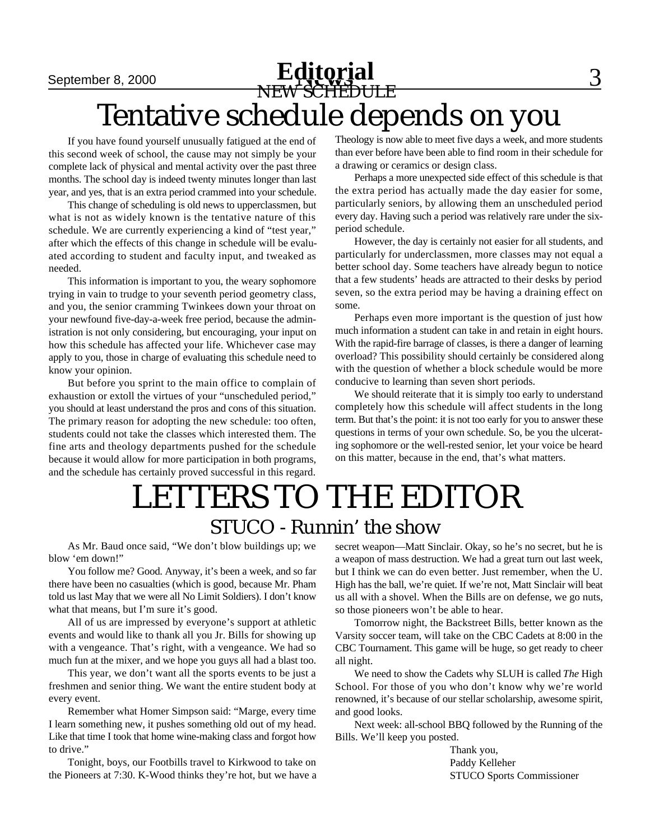## September 8, 2000 **Editorial Editorial** 3 NEW SCHEDULE Tentative schedule depends on you

If you have found yourself unusually fatigued at the end of this second week of school, the cause may not simply be your complete lack of physical and mental activity over the past three months. The school day is indeed twenty minutes longer than last year, and yes, that is an extra period crammed into your schedule.

This change of scheduling is old news to upperclassmen, but what is not as widely known is the tentative nature of this schedule. We are currently experiencing a kind of "test year," after which the effects of this change in schedule will be evaluated according to student and faculty input, and tweaked as needed.

This information is important to you, the weary sophomore trying in vain to trudge to your seventh period geometry class, and you, the senior cramming Twinkees down your throat on your newfound five-day-a-week free period, because the administration is not only considering, but encouraging, your input on how this schedule has affected your life. Whichever case may apply to you, those in charge of evaluating this schedule need to know your opinion.

But before you sprint to the main office to complain of exhaustion or extoll the virtues of your "unscheduled period," you should at least understand the pros and cons of this situation. The primary reason for adopting the new schedule: too often, students could not take the classes which interested them. The fine arts and theology departments pushed for the schedule because it would allow for more participation in both programs, and the schedule has certainly proved successful in this regard.

Theology is now able to meet five days a week, and more students than ever before have been able to find room in their schedule for a drawing or ceramics or design class.

Perhaps a more unexpected side effect of this schedule is that the extra period has actually made the day easier for some, particularly seniors, by allowing them an unscheduled period every day. Having such a period was relatively rare under the sixperiod schedule.

However, the day is certainly not easier for all students, and particularly for underclassmen, more classes may not equal a better school day. Some teachers have already begun to notice that a few students' heads are attracted to their desks by period seven, so the extra period may be having a draining effect on some.

Perhaps even more important is the question of just how much information a student can take in and retain in eight hours. With the rapid-fire barrage of classes, is there a danger of learning overload? This possibility should certainly be considered along with the question of whether a block schedule would be more conducive to learning than seven short periods.

We should reiterate that it is simply too early to understand completely how this schedule will affect students in the long term. But that's the point: it is not too early for you to answer these questions in terms of your own schedule. So, be you the ulcerating sophomore or the well-rested senior, let your voice be heard on this matter, because in the end, that's what matters.

## LETTERS TO THE EDITOR STUCO - Runnin' the show

As Mr. Baud once said, "We don't blow buildings up; we blow 'em down!"

You follow me? Good. Anyway, it's been a week, and so far there have been no casualties (which is good, because Mr. Pham told us last May that we were all No Limit Soldiers). I don't know what that means, but I'm sure it's good.

All of us are impressed by everyone's support at athletic events and would like to thank all you Jr. Bills for showing up with a vengeance. That's right, with a vengeance. We had so much fun at the mixer, and we hope you guys all had a blast too.

This year, we don't want all the sports events to be just a freshmen and senior thing. We want the entire student body at every event.

Remember what Homer Simpson said: "Marge, every time I learn something new, it pushes something old out of my head. Like that time I took that home wine-making class and forgot how to drive."

Tonight, boys, our Footbills travel to Kirkwood to take on the Pioneers at 7:30. K-Wood thinks they're hot, but we have a secret weapon—Matt Sinclair. Okay, so he's no secret, but he is a weapon of mass destruction. We had a great turn out last week, but I think we can do even better. Just remember, when the U. High has the ball, we're quiet. If we're not, Matt Sinclair will beat us all with a shovel. When the Bills are on defense, we go nuts, so those pioneers won't be able to hear.

Tomorrow night, the Backstreet Bills, better known as the Varsity soccer team, will take on the CBC Cadets at 8:00 in the CBC Tournament. This game will be huge, so get ready to cheer all night.

We need to show the Cadets why SLUH is called *The* High School. For those of you who don't know why we're world renowned, it's because of our stellar scholarship, awesome spirit, and good looks.

Next week: all-school BBQ followed by the Running of the Bills. We'll keep you posted.

> Thank you, Paddy Kelleher STUCO Sports Commissioner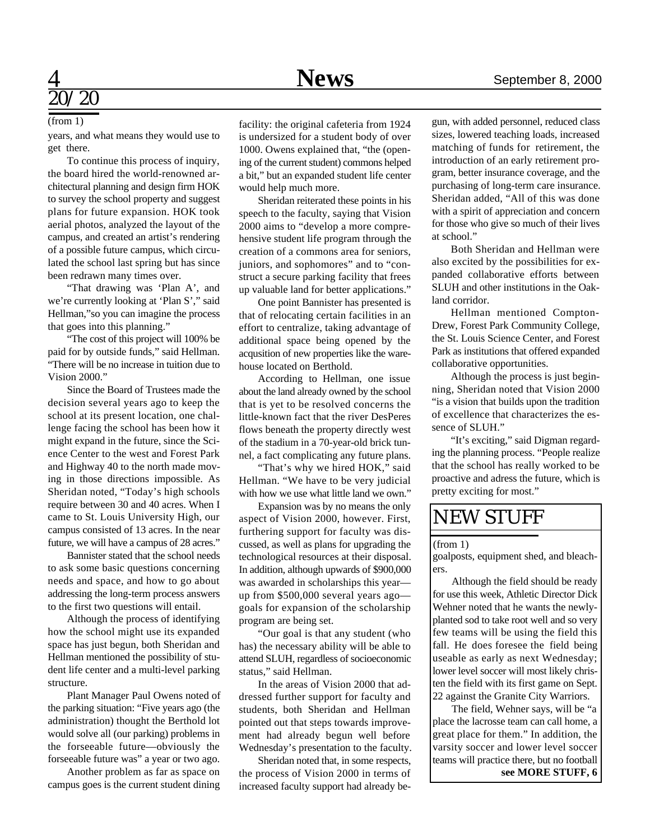# $\overline{\prime}20$

#### (from 1)

years, and what means they would use to get there.

To continue this process of inquiry, the board hired the world-renowned architectural planning and design firm HOK to survey the school property and suggest plans for future expansion. HOK took aerial photos, analyzed the layout of the campus, and created an artist's rendering of a possible future campus, which circulated the school last spring but has since been redrawn many times over.

"That drawing was 'Plan A', and we're currently looking at 'Plan S'," said Hellman,"so you can imagine the process that goes into this planning."

"The cost of this project will 100% be paid for by outside funds," said Hellman. "There will be no increase in tuition due to Vision 2000."

Since the Board of Trustees made the decision several years ago to keep the school at its present location, one challenge facing the school has been how it might expand in the future, since the Science Center to the west and Forest Park and Highway 40 to the north made moving in those directions impossible. As Sheridan noted, "Today's high schools require between 30 and 40 acres. When I came to St. Louis University High, our campus consisted of 13 acres. In the near future, we will have a campus of 28 acres."

Bannister stated that the school needs to ask some basic questions concerning needs and space, and how to go about addressing the long-term process answers to the first two questions will entail.

Although the process of identifying how the school might use its expanded space has just begun, both Sheridan and Hellman mentioned the possibility of student life center and a multi-level parking structure.

Plant Manager Paul Owens noted of the parking situation: "Five years ago (the administration) thought the Berthold lot would solve all (our parking) problems in the forseeable future—obviously the forseeable future was" a year or two ago.

Another problem as far as space on campus goes is the current student dining

facility: the original cafeteria from 1924 is undersized for a student body of over 1000. Owens explained that, "the (opening of the current student) commons helped a bit," but an expanded student life center would help much more.

Sheridan reiterated these points in his speech to the faculty, saying that Vision 2000 aims to "develop a more comprehensive student life program through the creation of a commons area for seniors, juniors, and sophomores" and to "construct a secure parking facility that frees up valuable land for better applications."

One point Bannister has presented is that of relocating certain facilities in an effort to centralize, taking advantage of additional space being opened by the acqusition of new properties like the warehouse located on Berthold.

According to Hellman, one issue about the land already owned by the school that is yet to be resolved concerns the little-known fact that the river DesPeres flows beneath the property directly west of the stadium in a 70-year-old brick tunnel, a fact complicating any future plans.

"That's why we hired HOK," said Hellman. "We have to be very judicial with how we use what little land we own."

Expansion was by no means the only aspect of Vision 2000, however. First, furthering support for faculty was discussed, as well as plans for upgrading the technological resources at their disposal. In addition, although upwards of \$900,000 was awarded in scholarships this year up from \$500,000 several years ago goals for expansion of the scholarship program are being set.

"Our goal is that any student (who has) the necessary ability will be able to attend SLUH, regardless of socioeconomic status," said Hellman.

In the areas of Vision 2000 that addressed further support for faculty and students, both Sheridan and Hellman pointed out that steps towards improvement had already begun well before Wednesday's presentation to the faculty.

Sheridan noted that, in some respects, the process of Vision 2000 in terms of increased faculty support had already be-

gun, with added personnel, reduced class sizes, lowered teaching loads, increased matching of funds for retirement, the introduction of an early retirement program, better insurance coverage, and the purchasing of long-term care insurance. Sheridan added, "All of this was done with a spirit of appreciation and concern for those who give so much of their lives at school."

Both Sheridan and Hellman were also excited by the possibilities for expanded collaborative efforts between SLUH and other institutions in the Oakland corridor.

Hellman mentioned Compton-Drew, Forest Park Community College, the St. Louis Science Center, and Forest Park as institutions that offered expanded collaborative opportunities.

Although the process is just beginning, Sheridan noted that Vision 2000 "is a vision that builds upon the tradition of excellence that characterizes the essence of SLUH."

"It's exciting," said Digman regarding the planning process. "People realize that the school has really worked to be proactive and adress the future, which is pretty exciting for most."

### NEW STUFF

#### (from 1)

goalposts, equipment shed, and bleachers.

Although the field should be ready for use this week, Athletic Director Dick Wehner noted that he wants the newlyplanted sod to take root well and so very few teams will be using the field this fall. He does foresee the field being useable as early as next Wednesday; lower level soccer will most likely christen the field with its first game on Sept. 22 against the Granite City Warriors.

The field, Wehner says, will be "a place the lacrosse team can call home, a great place for them." In addition, the varsity soccer and lower level soccer teams will practice there, but no football **see MORE STUFF, 6**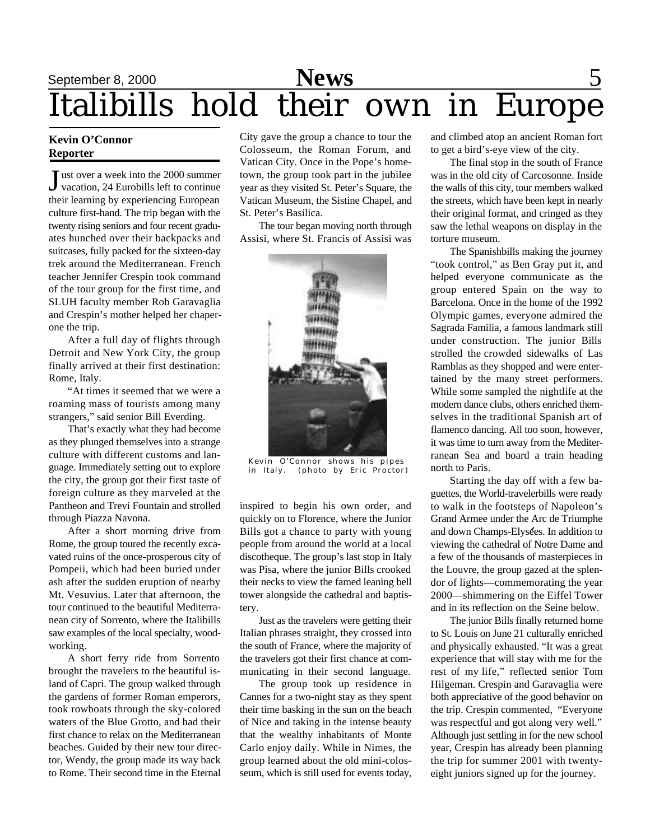## September 8, 2000 **News** 5 Italibills hold their own in Europe

### **Kevin O'Connor Reporter**

J ust over a week into the 2000 summer vacation, 24 Eurobills left to continue their learning by experiencing European culture first-hand. The trip began with the twenty rising seniors and four recent graduates hunched over their backpacks and suitcases, fully packed for the sixteen-day trek around the Mediterranean. French teacher Jennifer Crespin took command of the tour group for the first time, and SLUH faculty member Rob Garavaglia and Crespin's mother helped her chaperone the trip.

After a full day of flights through Detroit and New York City, the group finally arrived at their first destination: Rome, Italy.

"At times it seemed that we were a roaming mass of tourists among many strangers," said senior Bill Everding.

That's exactly what they had become as they plunged themselves into a strange culture with different customs and language. Immediately setting out to explore the city, the group got their first taste of foreign culture as they marveled at the Pantheon and Trevi Fountain and strolled through Piazza Navona.

After a short morning drive from Rome, the group toured the recently excavated ruins of the once-prosperous city of Pompeii, which had been buried under ash after the sudden eruption of nearby Mt. Vesuvius. Later that afternoon, the tour continued to the beautiful Mediterranean city of Sorrento, where the Italibills saw examples of the local specialty, woodworking.

A short ferry ride from Sorrento brought the travelers to the beautiful island of Capri. The group walked through the gardens of former Roman emperors, took rowboats through the sky-colored waters of the Blue Grotto, and had their first chance to relax on the Mediterranean beaches. Guided by their new tour director, Wendy, the group made its way back to Rome. Their second time in the Eternal

City gave the group a chance to tour the Colosseum, the Roman Forum, and Vatican City. Once in the Pope's hometown, the group took part in the jubilee year as they visited St. Peter's Square, the Vatican Museum, the Sistine Chapel, and St. Peter's Basilica.

The tour began moving north through Assisi, where St. Francis of Assisi was



Kevin O'Connor shows his pipes (photo by Eric Proctor)

inspired to begin his own order, and quickly on to Florence, where the Junior Bills got a chance to party with young people from around the world at a local discotheque. The group's last stop in Italy was Pisa, where the junior Bills crooked their necks to view the famed leaning bell tower alongside the cathedral and baptistery.

Just as the travelers were getting their Italian phrases straight, they crossed into the south of France, where the majority of the travelers got their first chance at communicating in their second language.

The group took up residence in Cannes for a two-night stay as they spent their time basking in the sun on the beach of Nice and taking in the intense beauty that the wealthy inhabitants of Monte Carlo enjoy daily. While in Nimes, the group learned about the old mini-colosseum, which is still used for events today,

and climbed atop an ancient Roman fort to get a bird's-eye view of the city.

The final stop in the south of France was in the old city of Carcosonne. Inside the walls of this city, tour members walked the streets, which have been kept in nearly their original format, and cringed as they saw the lethal weapons on display in the torture museum.

The Spanishbills making the journey "took control," as Ben Gray put it, and helped everyone communicate as the group entered Spain on the way to Barcelona. Once in the home of the 1992 Olympic games, everyone admired the Sagrada Familia, a famous landmark still under construction. The junior Bills strolled the crowded sidewalks of Las Ramblas as they shopped and were entertained by the many street performers. While some sampled the nightlife at the modern dance clubs, others enriched themselves in the traditional Spanish art of flamenco dancing. All too soon, however, it was time to turn away from the Mediterranean Sea and board a train heading north to Paris.

Starting the day off with a few baguettes, the World-travelerbills were ready to walk in the footsteps of Napoleon's Grand Armee under the Arc de Triumphe and down Champs-Elysées. In addition to viewing the cathedral of Notre Dame and a few of the thousands of masterpieces in the Louvre, the group gazed at the splendor of lights—commemorating the year 2000—shimmering on the Eiffel Tower and in its reflection on the Seine below.

The junior Bills finally returned home to St. Louis on June 21 culturally enriched and physically exhausted. "It was a great experience that will stay with me for the rest of my life," reflected senior Tom Hilgeman. Crespin and Garavaglia were both appreciative of the good behavior on the trip. Crespin commented, "Everyone was respectful and got along very well." Although just settling in for the new school year, Crespin has already been planning the trip for summer 2001 with twentyeight juniors signed up for the journey.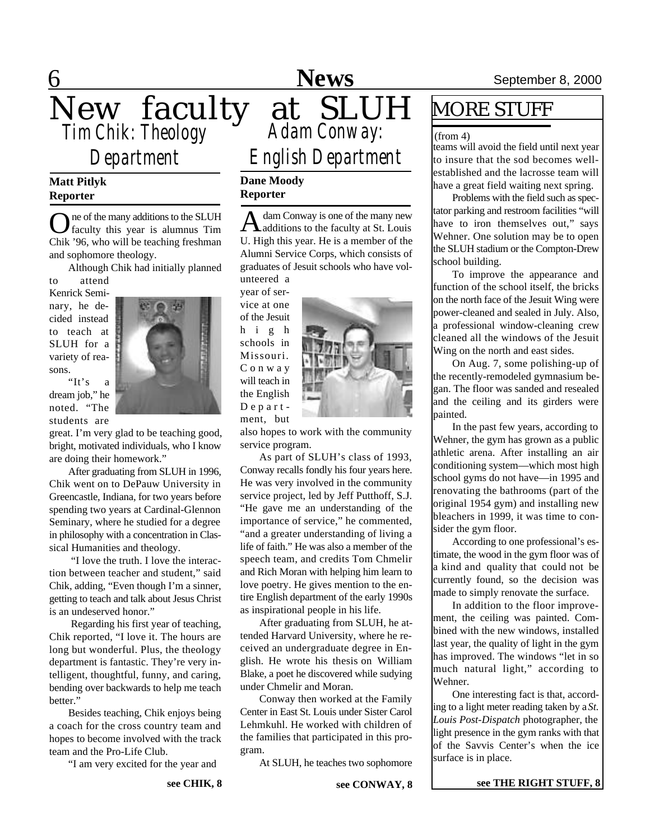## 6 **News** September 8, 2000 New faculty at SLUH *Tim Chik: Theology Adam Conway: Department English Department*

### **Matt Pitlyk Reporter**

O ne of the many additions to the SLUH faculty this year is alumnus Tim Chik '96, who will be teaching freshman and sophomore theology.

Although Chik had initially planned

to attend Kenrick Seminary, he decided instead to teach at SLUH for a variety of reasons.

"It's a dream job," he noted. "The students are



great. I'm very glad to be teaching good, bright, motivated individuals, who I know are doing their homework."

After graduating from SLUH in 1996, Chik went on to DePauw University in Greencastle, Indiana, for two years before spending two years at Cardinal-Glennon Seminary, where he studied for a degree in philosophy with a concentration in Classical Humanities and theology.

 "I love the truth. I love the interaction between teacher and student," said Chik, adding, "Even though I'm a sinner, getting to teach and talk about Jesus Christ is an undeserved honor."

 Regarding his first year of teaching, Chik reported, "I love it. The hours are long but wonderful. Plus, the theology department is fantastic. They're very intelligent, thoughtful, funny, and caring, bending over backwards to help me teach better."

Besides teaching, Chik enjoys being a coach for the cross country team and hopes to become involved with the track team and the Pro-Life Club.

"I am very excited for the year and

**see CHIK, 8**

### **Dane Moody Reporter**

A dam Conway is one of the many new dam Conway is one of the many new U. High this year. He is a member of the Alumni Service Corps, which consists of graduates of Jesuit schools who have volunteered a

year of service at one of the Jesuit h i g h schools in Missouri. C o n w a y will teach in the English D e p a r t ment, but



also hopes to work with the community service program.

As part of SLUH's class of 1993, Conway recalls fondly his four years here. He was very involved in the community service project, led by Jeff Putthoff, S.J. "He gave me an understanding of the importance of service," he commented, "and a greater understanding of living a life of faith." He was also a member of the speech team, and credits Tom Chmelir and Rich Moran with helping him learn to love poetry. He gives mention to the entire English department of the early 1990s as inspirational people in his life.

After graduating from SLUH, he attended Harvard University, where he received an undergraduate degree in English. He wrote his thesis on William Blake, a poet he discovered while sudying under Chmelir and Moran.

Conway then worked at the Family Center in East St. Louis under Sister Carol Lehmkuhl. He worked with children of the families that participated in this program.

At SLUH, he teaches two sophomore

### MORE STUFF

(from 4)

teams will avoid the field until next year to insure that the sod becomes wellestablished and the lacrosse team will have a great field waiting next spring.

Problems with the field such as spectator parking and restroom facilities "will have to iron themselves out," says Wehner. One solution may be to open the SLUH stadium or the Compton-Drew school building.

To improve the appearance and function of the school itself, the bricks on the north face of the Jesuit Wing were power-cleaned and sealed in July. Also, a professional window-cleaning crew cleaned all the windows of the Jesuit Wing on the north and east sides.

On Aug. 7, some polishing-up of the recently-remodeled gymnasium began. The floor was sanded and resealed and the ceiling and its girders were painted.

In the past few years, according to Wehner, the gym has grown as a public athletic arena. After installing an air conditioning system—which most high school gyms do not have—in 1995 and renovating the bathrooms (part of the original 1954 gym) and installing new bleachers in 1999, it was time to consider the gym floor.

According to one professional's estimate, the wood in the gym floor was of a kind and quality that could not be currently found, so the decision was made to simply renovate the surface.

In addition to the floor improvement, the ceiling was painted. Combined with the new windows, installed last year, the quality of light in the gym has improved. The windows "let in so much natural light," according to Wehner.

One interesting fact is that, according to a light meter reading taken by a *St. Louis Post-Dispatch* photographer, the light presence in the gym ranks with that of the Savvis Center's when the ice surface is in place.

**see THE RIGHT STUFF, 8**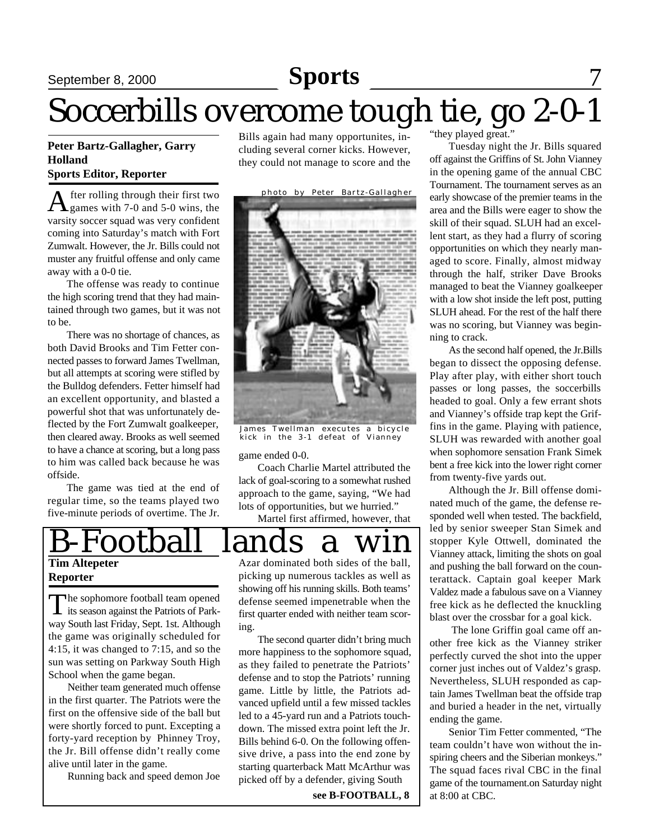## September 8, 2000 **Sports** 7

## Soccerbills overcome tough tie, go 2-0-1

### **Peter Bartz-Gallagher, Garry Holland Sports Editor, Reporter**

A fter rolling through their first two games with 7-0 and 5-0 wins, the varsity soccer squad was very confident coming into Saturday's match with Fort Zumwalt. However, the Jr. Bills could not muster any fruitful offense and only came away with a 0-0 tie.

The offense was ready to continue the high scoring trend that they had maintained through two games, but it was not to be.

There was no shortage of chances, as both David Brooks and Tim Fetter connected passes to forward James Twellman, but all attempts at scoring were stifled by the Bulldog defenders. Fetter himself had an excellent opportunity, and blasted a powerful shot that was unfortunately deflected by the Fort Zumwalt goalkeeper, then cleared away. Brooks as well seemed to have a chance at scoring, but a long pass to him was called back because he was offside.

The game was tied at the end of regular time, so the teams played two five-minute periods of overtime. The Jr.

Bills again had many opportunites, including several corner kicks. However, they could not manage to score and the



James Twellman executes a bicycle kick in the 3-1 defeat of Vianney

game ended 0-0.

Coach Charlie Martel attributed the lack of goal-scoring to a somewhat rushed approach to the game, saying, "We had lots of opportunities, but we hurried."

Martel first affirmed, however, that



The sophomore football team opened<br>its season against the Patriots of Park-The sophomore football team opened way South last Friday, Sept. 1st. Although the game was originally scheduled for 4:15, it was changed to 7:15, and so the sun was setting on Parkway South High School when the game began.

Neither team generated much offense in the first quarter. The Patriots were the first on the offensive side of the ball but were shortly forced to punt. Excepting a forty-yard reception by Phinney Troy, the Jr. Bill offense didn't really come alive until later in the game.

Running back and speed demon Joe

showing off his running skills. Both teams' defense seemed impenetrable when the first quarter ended with neither team scoring.

The second quarter didn't bring much more happiness to the sophomore squad, as they failed to penetrate the Patriots' defense and to stop the Patriots' running game. Little by little, the Patriots advanced upfield until a few missed tackles led to a 45-yard run and a Patriots touchdown. The missed extra point left the Jr. Bills behind 6-0. On the following offensive drive, a pass into the end zone by starting quarterback Matt McArthur was picked off by a defender, giving South

**see B-FOOTBALL, 8**

"they played great."

Tuesday night the Jr. Bills squared off against the Griffins of St. John Vianney in the opening game of the annual CBC Tournament. The tournament serves as an early showcase of the premier teams in the area and the Bills were eager to show the skill of their squad. SLUH had an excellent start, as they had a flurry of scoring opportunities on which they nearly managed to score. Finally, almost midway through the half, striker Dave Brooks managed to beat the Vianney goalkeeper with a low shot inside the left post, putting SLUH ahead. For the rest of the half there was no scoring, but Vianney was beginning to crack.

As the second half opened, the Jr.Bills began to dissect the opposing defense. Play after play, with either short touch passes or long passes, the soccerbills headed to goal. Only a few errant shots and Vianney's offside trap kept the Griffins in the game. Playing with patience, SLUH was rewarded with another goal when sophomore sensation Frank Simek bent a free kick into the lower right corner from twenty-five yards out.

Although the Jr. Bill offense dominated much of the game, the defense responded well when tested. The backfield, led by senior sweeper Stan Simek and stopper Kyle Ottwell, dominated the Vianney attack, limiting the shots on goal and pushing the ball forward on the counterattack. Captain goal keeper Mark Valdez made a fabulous save on a Vianney free kick as he deflected the knuckling blast over the crossbar for a goal kick.

 The lone Griffin goal came off another free kick as the Vianney striker perfectly curved the shot into the upper corner just inches out of Valdez's grasp. Nevertheless, SLUH responded as captain James Twellman beat the offside trap and buried a header in the net, virtually ending the game.

Senior Tim Fetter commented, "The team couldn't have won without the inspiring cheers and the Siberian monkeys." The squad faces rival CBC in the final game of the tournament.on Saturday night at 8:00 at CBC.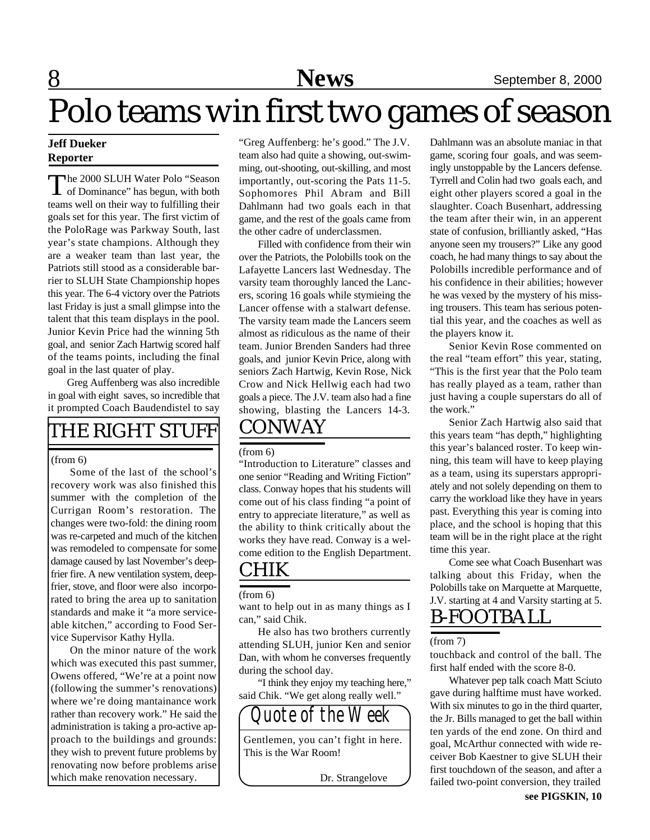# Polo teams win first two games of season

### **Jeff Dueker Reporter**

The 2000 SLUH Water Polo "Season"<br>of Dominance" has begun, with both of Dominance" has begun, with both teams well on their way to fulfilling their goals set for this year. The first victim of the PoloRage was Parkway South, last year's state champions. Although they are a weaker team than last year, the Patriots still stood as a considerable barrier to SLUH State Championship hopes this year. The 6-4 victory over the Patriots last Friday is just a small glimpse into the talent that this team displays in the pool. Junior Kevin Price had the winning 5th goal, and senior Zach Hartwig scored half of the teams points, including the final goal in the last quater of play.

Greg Auffenberg was also incredible in goal with eight saves, so incredible that it prompted Coach Baudendistel to say

### THE RIGHT STUFF

#### (from 6)

Some of the last of the school's recovery work was also finished this summer with the completion of the Currigan Room's restoration. The changes were two-fold: the dining room was re-carpeted and much of the kitchen was remodeled to compensate for some damage caused by last November's deepfrier fire. A new ventilation system, deepfrier, stove, and floor were also incorporated to bring the area up to sanitation standards and make it "a more serviceable kitchen," according to Food Service Supervisor Kathy Hylla.

On the minor nature of the work which was executed this past summer, Owens offered, "We're at a point now (following the summer's renovations) where we're doing mantainance work rather than recovery work." He said the administration is taking a pro-active approach to the buildings and grounds: they wish to prevent future problems by renovating now before problems arise which make renovation necessary.

"Greg Auffenberg: he's good." The J.V. team also had quite a showing, out-swimming, out-shooting, out-skilling, and most importantly, out-scoring the Pats 11-5. Sophomores Phil Abram and Bill Dahlmann had two goals each in that game, and the rest of the goals came from the other cadre of underclassmen.

CONWAY Filled with confidence from their win over the Patriots, the Polobills took on the Lafayette Lancers last Wednesday. The varsity team thoroughly lanced the Lancers, scoring 16 goals while stymieing the Lancer offense with a stalwart defense. The varsity team made the Lancers seem almost as ridiculous as the name of their team. Junior Brenden Sanders had three goals, and junior Kevin Price, along with seniors Zach Hartwig, Kevin Rose, Nick Crow and Nick Hellwig each had two goals a piece. The J.V. team also had a fine showing, blasting the Lancers 14-3.

(from 6)

"Introduction to Literature" classes and one senior "Reading and Writing Fiction" class. Conway hopes that his students will come out of his class finding "a point of entry to appreciate literature," as well as the ability to think critically about the works they have read. Conway is a welcome edition to the English Department.

### CHIK

#### (from 6)

want to help out in as many things as I can," said Chik.

He also has two brothers currently attending SLUH, junior Ken and senior Dan, with whom he converses frequently during the school day.

"I think they enjoy my teaching here," said Chik. "We get along really well."

Gentlemen, you can't fight in here. This is the War Room!

*Quote of the Week*

Dr. Strangelove

Dahlmann was an absolute maniac in that game, scoring four goals, and was seemingly unstoppable by the Lancers defense. Tyrrell and Colin had two goals each, and eight other players scored a goal in the slaughter. Coach Busenhart, addressing the team after their win, in an apperent state of confusion, brilliantly asked, "Has anyone seen my trousers?" Like any good coach, he had many things to say about the Polobills incredible performance and of his confidence in their abilities; however he was vexed by the mystery of his missing trousers. This team has serious potential this year, and the coaches as well as the players know it.

Senior Kevin Rose commented on the real "team effort" this year, stating, "This is the first year that the Polo team has really played as a team, rather than just having a couple superstars do all of the work."

Senior Zach Hartwig also said that this years team "has depth," highlighting this year's balanced roster. To keep winning, this team will have to keep playing as a team, using its superstars appropriately and not solely depending on them to carry the workload like they have in years past. Everything this year is coming into place, and the school is hoping that this team will be in the right place at the right time this year.

Come see what Coach Busenhart was talking about this Friday, when the Polobills take on Marquette at Marquette, J.V. starting at 4 and Varsity starting at 5.

### B-FOOTBALL

(from 7)

touchback and control of the ball. The first half ended with the score 8-0.

Whatever pep talk coach Matt Sciuto gave during halftime must have worked. With six minutes to go in the third quarter, the Jr. Bills managed to get the ball within ten yards of the end zone. On third and goal, McArthur connected with wide receiver Bob Kaestner to give SLUH their first touchdown of the season, and after a failed two-point conversion, they trailed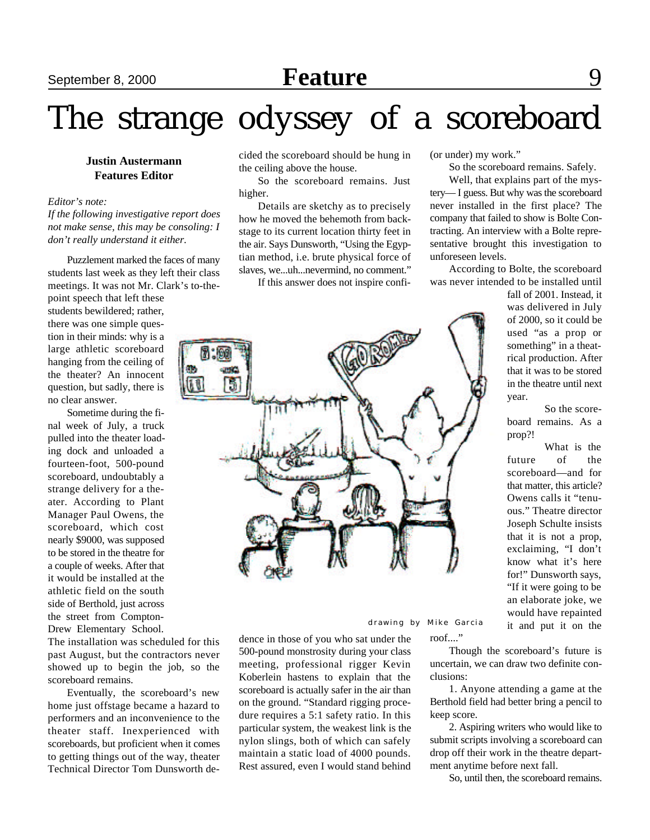# The strange odyssey of a scoreboard

### **Justin Austermann Features Editor**

*Editor's note:*

*If the following investigative report does not make sense, this may be consoling: I don't really understand it either.*

Puzzlement marked the faces of many students last week as they left their class meetings. It was not Mr. Clark's to-the-

point speech that left these students bewildered; rather, there was one simple question in their minds: why is a large athletic scoreboard hanging from the ceiling of the theater? An innocent question, but sadly, there is no clear answer.

Sometime during the final week of July, a truck pulled into the theater loading dock and unloaded a fourteen-foot, 500-pound scoreboard, undoubtably a strange delivery for a theater. According to Plant Manager Paul Owens, the scoreboard, which cost nearly \$9000, was supposed to be stored in the theatre for a couple of weeks. After that it would be installed at the athletic field on the south side of Berthold, just across the street from Compton-Drew Elementary School.

The installation was scheduled for this past August, but the contractors never showed up to begin the job, so the scoreboard remains.

Eventually, the scoreboard's new home just offstage became a hazard to performers and an inconvenience to the theater staff. Inexperienced with scoreboards, but proficient when it comes to getting things out of the way, theater Technical Director Tom Dunsworth decided the scoreboard should be hung in the ceiling above the house.

So the scoreboard remains. Just higher.

Details are sketchy as to precisely how he moved the behemoth from backstage to its current location thirty feet in the air. Says Dunsworth, "Using the Egyptian method, i.e. brute physical force of slaves, we...uh...nevermind, no comment."

If this answer does not inspire confi-

(or under) my work."

So the scoreboard remains. Safely.

Well, that explains part of the mystery— I guess. But why was the scoreboard never installed in the first place? The company that failed to show is Bolte Contracting. An interview with a Bolte representative brought this investigation to unforeseen levels.

According to Bolte, the scoreboard was never intended to be installed until

fall of 2001. Instead, it was delivered in July of 2000, so it could be used "as a prop or something" in a theatrical production. After that it was to be stored in the theatre until next year.

So the scoreboard remains. As a prop?!

What is the future of the scoreboard—and for that matter, this article? Owens calls it "tenuous." Theatre director Joseph Schulte insists that it is not a prop, exclaiming, "I don't know what it's here for!" Dunsworth says, "If it were going to be an elaborate joke, we would have repainted it and put it on the

dence in those of you who sat under the 500-pound monstrosity during your class meeting, professional rigger Kevin Koberlein hastens to explain that the scoreboard is actually safer in the air than on the ground. "Standard rigging procedure requires a 5:1 safety ratio. In this particular system, the weakest link is the nylon slings, both of which can safely maintain a static load of 4000 pounds. Rest assured, even I would stand behind

roof...." drawing by Mike Garcia

> Though the scoreboard's future is uncertain, we can draw two definite conclusions:

> 1. Anyone attending a game at the Berthold field had better bring a pencil to keep score.

> 2. Aspiring writers who would like to submit scripts involving a scoreboard can drop off their work in the theatre department anytime before next fall.

So, until then, the scoreboard remains.